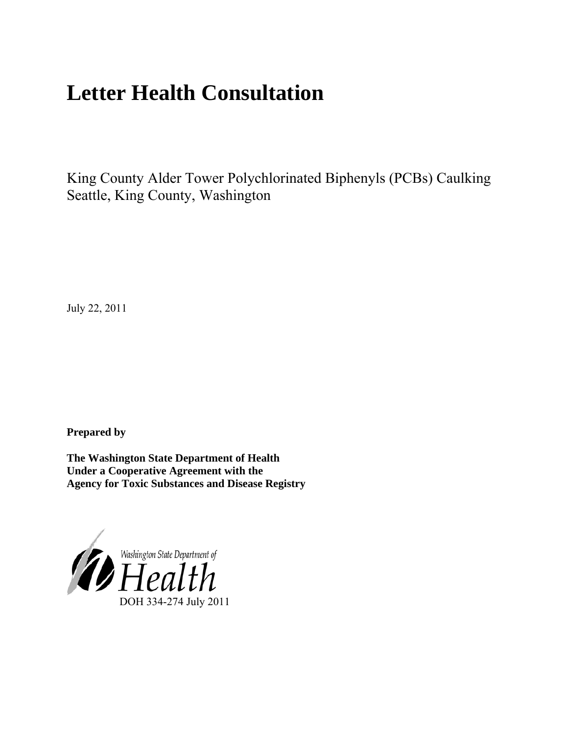# **Letter Health Consultation**

King County Alder Tower Polychlorinated Biphenyls (PCBs) Caulking Seattle, King County, Washington

July 22, 2011

**Prepared by** 

**The Washington State Department of Health Under a Cooperative Agreement with the Agency for Toxic Substances and Disease Registry**

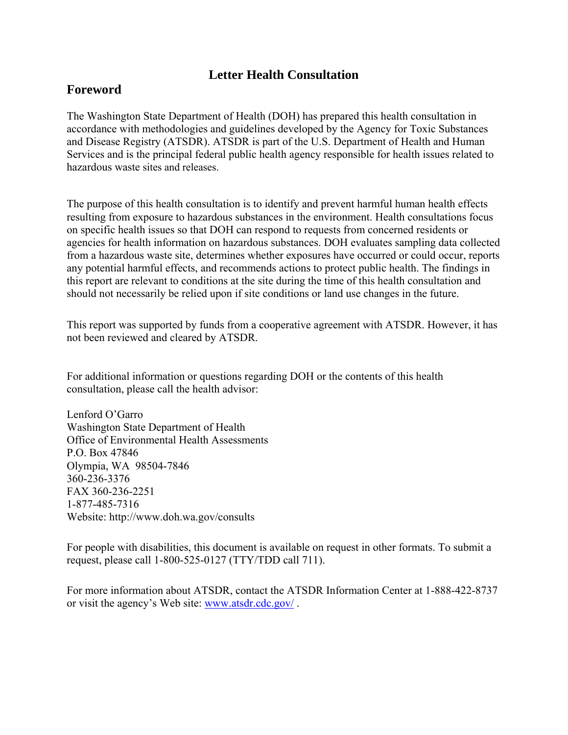### **Letter Health Consultation**

### **Foreword**

The Washington State Department of Health (DOH) has prepared this health consultation in accordance with methodologies and guidelines developed by the Agency for Toxic Substances and Disease Registry (ATSDR). ATSDR is part of the U.S. Department of Health and Human Services and is the principal federal public health agency responsible for health issues related to hazardous waste sites and releases.

The purpose of this health consultation is to identify and prevent harmful human health effects resulting from exposure to hazardous substances in the environment. Health consultations focus on specific health issues so that DOH can respond to requests from concerned residents or agencies for health information on hazardous substances. DOH evaluates sampling data collected from a hazardous waste site, determines whether exposures have occurred or could occur, reports any potential harmful effects, and recommends actions to protect public health. The findings in this report are relevant to conditions at the site during the time of this health consultation and should not necessarily be relied upon if site conditions or land use changes in the future.

This report was supported by funds from a cooperative agreement with ATSDR. However, it has not been reviewed and cleared by ATSDR.

For additional information or questions regarding DOH or the contents of this health consultation, please call the health advisor:

Lenford O'Garro Washington State Department of Health Office of Environmental Health Assessments P.O. Box 47846 Olympia, WA 98504-7846 360-236-3376 FAX 360-236-2251 1-877-485-7316 Website: http://www.doh.wa.gov/consults

For people with disabilities, this document is available on request in other formats. To submit a request, please call 1-800-525-0127 (TTY/TDD call 711).

For more information about ATSDR, contact the ATSDR Information Center at 1-888-422-8737 or visit the agency's Web site: www.atsdr.cdc.gov/ .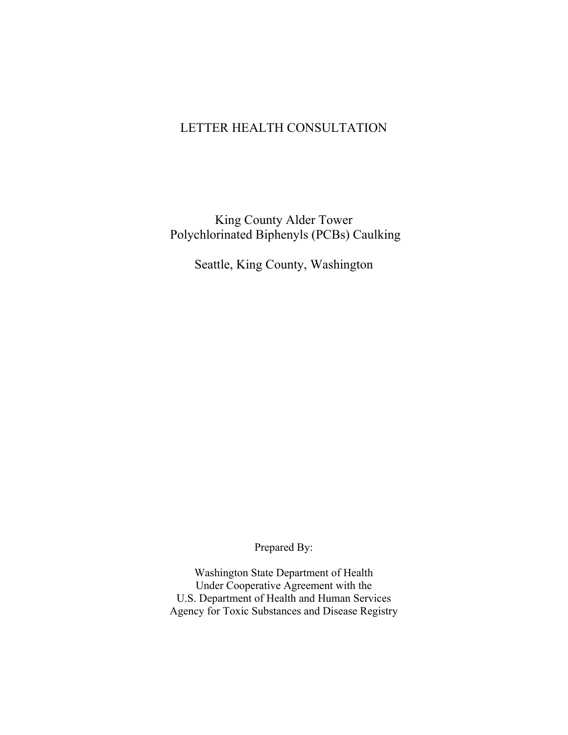### LETTER HEALTH CONSULTATION

### King County Alder Tower Polychlorinated Biphenyls (PCBs) Caulking

Seattle, King County, Washington

Prepared By:

Washington State Department of Health Under Cooperative Agreement with the U.S. Department of Health and Human Services Agency for Toxic Substances and Disease Registry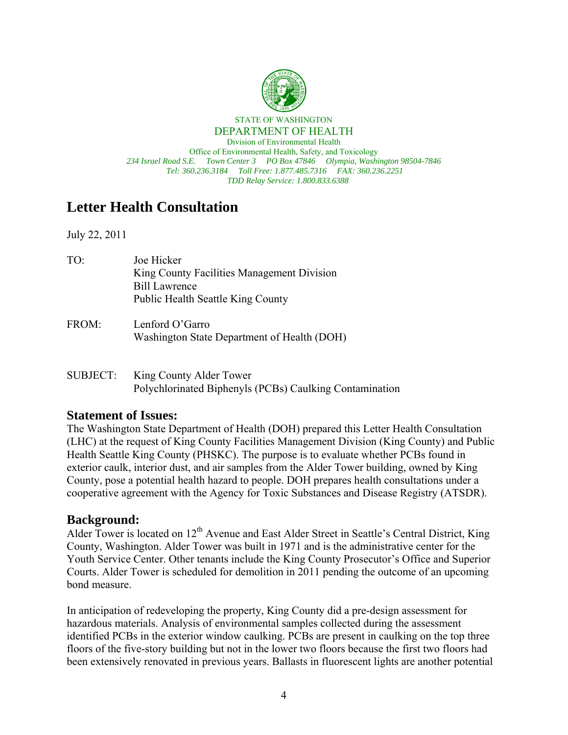

STATE OF WASHINGTON DEPARTMENT OF HEALTH

Division of Environmental Health Office of Environmental Health, Safety, and Toxicology *234 Israel Road S.E. Town Center 3 PO Box 47846 Olympia, Washington 98504-7846 Tel: 360.236.3184 Toll Free: 1.877.485.7316 FAX: 360.236.2251 TDD Relay Service: 1.800.833.6388*

## **Letter Health Consultation**

July 22, 2011

- TO: Joe Hicker King County Facilities Management Division Bill Lawrence Public Health Seattle King County
- FROM: Lenford O'Garro Washington State Department of Health (DOH)

### SUBJECT: King County Alder Tower Polychlorinated Biphenyls (PCBs) Caulking Contamination

### **Statement of Issues:**

The Washington State Department of Health (DOH) prepared this Letter Health Consultation (LHC) at the request of King County Facilities Management Division (King County) and Public Health Seattle King County (PHSKC). The purpose is to evaluate whether PCBs found in exterior caulk, interior dust, and air samples from the Alder Tower building, owned by King County, pose a potential health hazard to people. DOH prepares health consultations under a cooperative agreement with the Agency for Toxic Substances and Disease Registry (ATSDR).

### **Background:**

Alder Tower is located on 12<sup>th</sup> Avenue and East Alder Street in Seattle's Central District, King County, Washington. Alder Tower was built in 1971 and is the administrative center for the Youth Service Center. Other tenants include the King County Prosecutor's Office and Superior Courts. Alder Tower is scheduled for demolition in 2011 pending the outcome of an upcoming bond measure.

In anticipation of redeveloping the property, King County did a pre-design assessment for hazardous materials. Analysis of environmental samples collected during the assessment identified PCBs in the exterior window caulking. PCBs are present in caulking on the top three floors of the five-story building but not in the lower two floors because the first two floors had been extensively renovated in previous years. Ballasts in fluorescent lights are another potential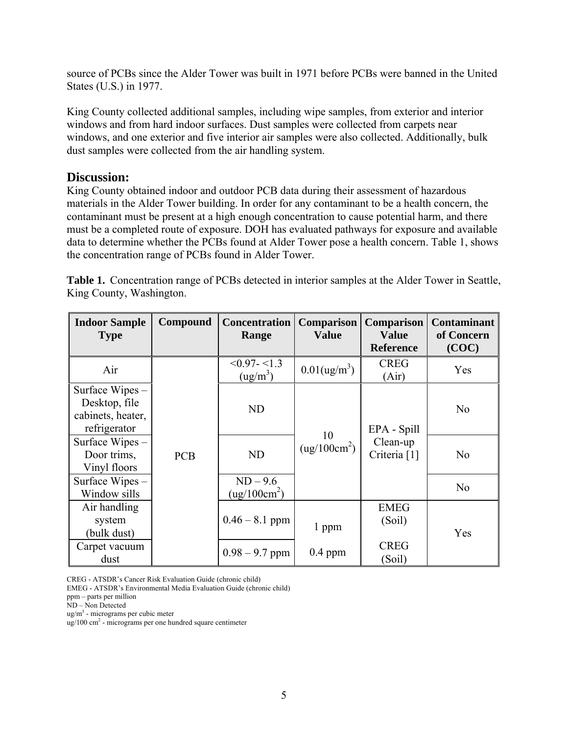source of PCBs since the Alder Tower was built in 1971 before PCBs were banned in the United States (U.S.) in 1977.

King County collected additional samples, including wipe samples, from exterior and interior windows and from hard indoor surfaces. Dust samples were collected from carpets near windows, and one exterior and five interior air samples were also collected. Additionally, bulk dust samples were collected from the air handling system.

#### **Discussion:**

King County obtained indoor and outdoor PCB data during their assessment of hazardous materials in the Alder Tower building. In order for any contaminant to be a health concern, the contaminant must be present at a high enough concentration to cause potential harm, and there must be a completed route of exposure. DOH has evaluated pathways for exposure and available data to determine whether the PCBs found at Alder Tower pose a health concern. Table 1, shows the concentration range of PCBs found in Alder Tower.

**Table 1.** Concentration range of PCBs detected in interior samples at the Alder Tower in Seattle, King County, Washington.

| <b>Indoor Sample</b><br><b>Type</b>                                   | Compound   | <b>Concentration</b><br>Range            | Comparison<br><b>Value</b>  | <b>Comparison</b><br><b>Value</b><br><b>Reference</b> | <b>Contaminant</b><br>of Concern<br>(COC) |
|-----------------------------------------------------------------------|------------|------------------------------------------|-----------------------------|-------------------------------------------------------|-------------------------------------------|
| Air                                                                   |            | $< 0.97 - < 1.3$<br>(ug/m <sup>3</sup> ) | $0.01$ (ug/m <sup>3</sup> ) | <b>CREG</b><br>(Air)                                  | Yes                                       |
| Surface Wipes –<br>Desktop, file<br>cabinets, heater,<br>refrigerator |            | <b>ND</b>                                | 10                          | EPA - Spill                                           | N <sub>0</sub>                            |
| Surface Wipes -<br>Door trims,<br>Vinyl floors                        | <b>PCB</b> | <b>ND</b>                                | (ug/100cm <sup>2</sup> )    | Clean-up<br>Criteria <sup>[1]</sup>                   | N <sub>0</sub>                            |
| Surface Wipes –<br>Window sills                                       |            | $ND - 9.6$<br>$(ug/100cm^2)$             |                             |                                                       | N <sub>0</sub>                            |
| Air handling<br>system<br>(bulk dust)                                 |            | $0.46 - 8.1$ ppm                         | 1 ppm                       | <b>EMEG</b><br>(Soil)                                 | Yes                                       |
| Carpet vacuum<br>dust                                                 |            | $0.98 - 9.7$ ppm                         | $0.4$ ppm                   | <b>CREG</b><br>(Soil)                                 |                                           |

CREG - ATSDR's Cancer Risk Evaluation Guide (chronic child)

EMEG - ATSDR's Environmental Media Evaluation Guide (chronic child)

ND – Non Detected

ug/m3 - micrograms per cubic meter

ug/100 cm<sup>2</sup> - micrograms per one hundred square centimeter

ppm – parts per million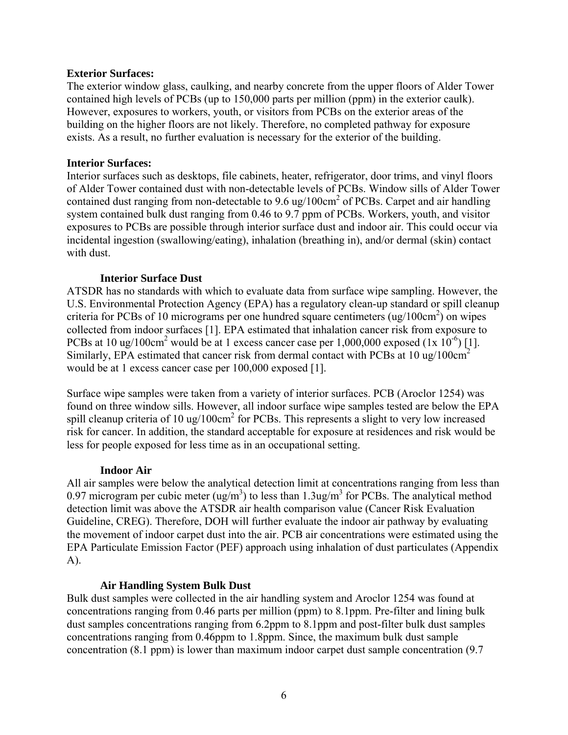#### **Exterior Surfaces:**

The exterior window glass, caulking, and nearby concrete from the upper floors of Alder Tower contained high levels of PCBs (up to 150,000 parts per million (ppm) in the exterior caulk). However, exposures to workers, youth, or visitors from PCBs on the exterior areas of the building on the higher floors are not likely. Therefore, no completed pathway for exposure exists. As a result, no further evaluation is necessary for the exterior of the building.

#### **Interior Surfaces:**

Interior surfaces such as desktops, file cabinets, heater, refrigerator, door trims, and vinyl floors of Alder Tower contained dust with non-detectable levels of PCBs. Window sills of Alder Tower contained dust ranging from non-detectable to 9.6 ug/100 $cm<sup>2</sup>$  of PCBs. Carpet and air handling system contained bulk dust ranging from 0.46 to 9.7 ppm of PCBs. Workers, youth, and visitor exposures to PCBs are possible through interior surface dust and indoor air. This could occur via incidental ingestion (swallowing/eating), inhalation (breathing in), and/or dermal (skin) contact with dust.

#### **Interior Surface Dust**

ATSDR has no standards with which to evaluate data from surface wipe sampling. However, the U.S. Environmental Protection Agency (EPA) has a regulatory clean-up standard or spill cleanup criteria for PCBs of 10 micrograms per one hundred square centimeters  $(ug/100cm<sup>2</sup>)$  on wipes collected from indoor surfaces [1]. EPA estimated that inhalation cancer risk from exposure to PCBs at 10 ug/100cm<sup>2</sup> would be at 1 excess cancer case per 1,000,000 exposed  $(1x\ 10^{-6})$  [1]. Similarly, EPA estimated that cancer risk from dermal contact with PCBs at  $10 \text{ ug}/100 \text{cm}^2$ would be at 1 excess cancer case per 100,000 exposed [1].

Surface wipe samples were taken from a variety of interior surfaces. PCB (Aroclor 1254) was found on three window sills. However, all indoor surface wipe samples tested are below the EPA spill cleanup criteria of 10 ug/100cm<sup>2</sup> for PCBs. This represents a slight to very low increased risk for cancer. In addition, the standard acceptable for exposure at residences and risk would be less for people exposed for less time as in an occupational setting.

#### **Indoor Air**

All air samples were below the analytical detection limit at concentrations ranging from less than 0.97 microgram per cubic meter (ug/m<sup>3</sup>) to less than 1.3ug/m<sup>3</sup> for PCBs. The analytical method detection limit was above the ATSDR air health comparison value (Cancer Risk Evaluation Guideline, CREG). Therefore, DOH will further evaluate the indoor air pathway by evaluating the movement of indoor carpet dust into the air. PCB air concentrations were estimated using the EPA Particulate Emission Factor (PEF) approach using inhalation of dust particulates (Appendix A).

#### **Air Handling System Bulk Dust**

Bulk dust samples were collected in the air handling system and Aroclor 1254 was found at concentrations ranging from 0.46 parts per million (ppm) to 8.1ppm. Pre-filter and lining bulk dust samples concentrations ranging from 6.2ppm to 8.1ppm and post-filter bulk dust samples concentrations ranging from 0.46ppm to 1.8ppm. Since, the maximum bulk dust sample concentration (8.1 ppm) is lower than maximum indoor carpet dust sample concentration (9.7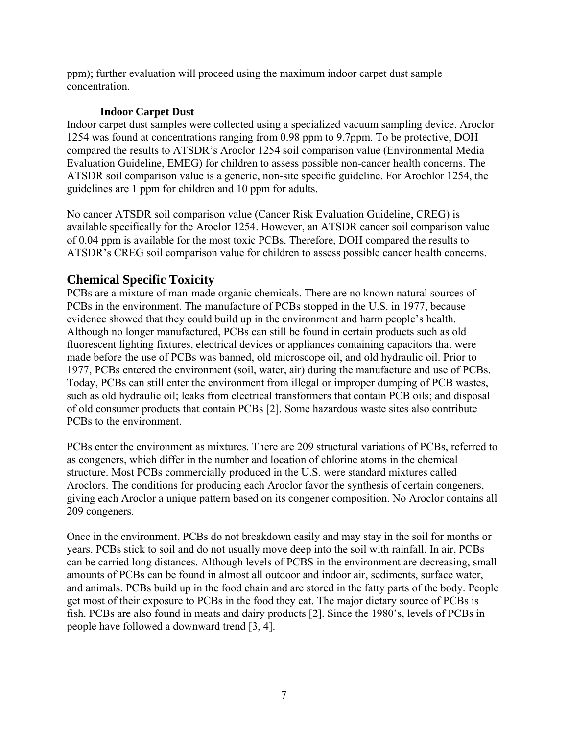ppm); further evaluation will proceed using the maximum indoor carpet dust sample concentration.

#### **Indoor Carpet Dust**

Indoor carpet dust samples were collected using a specialized vacuum sampling device. Aroclor 1254 was found at concentrations ranging from 0.98 ppm to 9.7ppm. To be protective, DOH compared the results to ATSDR's Aroclor 1254 soil comparison value (Environmental Media Evaluation Guideline, EMEG) for children to assess possible non-cancer health concerns. The ATSDR soil comparison value is a generic, non-site specific guideline. For Arochlor 1254, the guidelines are 1 ppm for children and 10 ppm for adults.

No cancer ATSDR soil comparison value (Cancer Risk Evaluation Guideline, CREG) is available specifically for the Aroclor 1254. However, an ATSDR cancer soil comparison value of 0.04 ppm is available for the most toxic PCBs. Therefore, DOH compared the results to ATSDR's CREG soil comparison value for children to assess possible cancer health concerns.

### **Chemical Specific Toxicity**

PCBs are a mixture of man-made organic chemicals. There are no known natural sources of PCBs in the environment. The manufacture of PCBs stopped in the U.S. in 1977, because evidence showed that they could build up in the environment and harm people's health. Although no longer manufactured, PCBs can still be found in certain products such as old fluorescent lighting fixtures, electrical devices or appliances containing capacitors that were made before the use of PCBs was banned, old microscope oil, and old hydraulic oil. Prior to 1977, PCBs entered the environment (soil, water, air) during the manufacture and use of PCBs. Today, PCBs can still enter the environment from illegal or improper dumping of PCB wastes, such as old hydraulic oil; leaks from electrical transformers that contain PCB oils; and disposal of old consumer products that contain PCBs [2]. Some hazardous waste sites also contribute PCBs to the environment.

PCBs enter the environment as mixtures. There are 209 structural variations of PCBs, referred to as congeners, which differ in the number and location of chlorine atoms in the chemical structure. Most PCBs commercially produced in the U.S. were standard mixtures called Aroclors. The conditions for producing each Aroclor favor the synthesis of certain congeners, giving each Aroclor a unique pattern based on its congener composition. No Aroclor contains all 209 congeners.

Once in the environment, PCBs do not breakdown easily and may stay in the soil for months or years. PCBs stick to soil and do not usually move deep into the soil with rainfall. In air, PCBs can be carried long distances. Although levels of PCBS in the environment are decreasing, small amounts of PCBs can be found in almost all outdoor and indoor air, sediments, surface water, and animals. PCBs build up in the food chain and are stored in the fatty parts of the body. People get most of their exposure to PCBs in the food they eat. The major dietary source of PCBs is fish. PCBs are also found in meats and dairy products [2]. Since the 1980's, levels of PCBs in people have followed a downward trend [3, 4].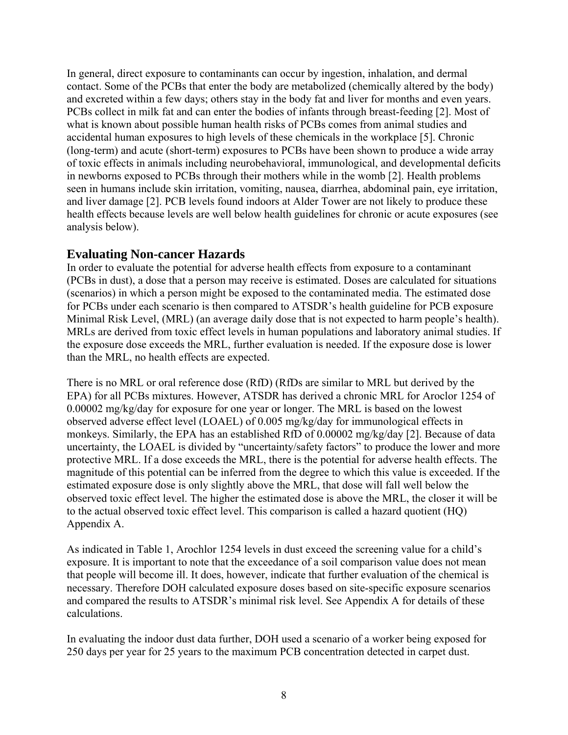In general, direct exposure to contaminants can occur by ingestion, inhalation, and dermal contact. Some of the PCBs that enter the body are metabolized (chemically altered by the body) and excreted within a few days; others stay in the body fat and liver for months and even years. PCBs collect in milk fat and can enter the bodies of infants through breast-feeding [2]. Most of what is known about possible human health risks of PCBs comes from animal studies and accidental human exposures to high levels of these chemicals in the workplace [5]. Chronic (long-term) and acute (short-term) exposures to PCBs have been shown to produce a wide array of toxic effects in animals including neurobehavioral, immunological, and developmental deficits in newborns exposed to PCBs through their mothers while in the womb [2]. Health problems seen in humans include skin irritation, vomiting, nausea, diarrhea, abdominal pain, eye irritation, and liver damage [2]. PCB levels found indoors at Alder Tower are not likely to produce these health effects because levels are well below health guidelines for chronic or acute exposures (see analysis below).

### **Evaluating Non-cancer Hazards**

In order to evaluate the potential for adverse health effects from exposure to a contaminant (PCBs in dust), a dose that a person may receive is estimated. Doses are calculated for situations (scenarios) in which a person might be exposed to the contaminated media. The estimated dose for PCBs under each scenario is then compared to ATSDR's health guideline for PCB exposure Minimal Risk Level, (MRL) (an average daily dose that is not expected to harm people's health). MRLs are derived from toxic effect levels in human populations and laboratory animal studies. If the exposure dose exceeds the MRL, further evaluation is needed. If the exposure dose is lower than the MRL, no health effects are expected.

There is no MRL or oral reference dose (RfD) (RfDs are similar to MRL but derived by the EPA) for all PCBs mixtures. However, ATSDR has derived a chronic MRL for Aroclor 1254 of 0.00002 mg/kg/day for exposure for one year or longer. The MRL is based on the lowest observed adverse effect level (LOAEL) of 0.005 mg/kg/day for immunological effects in monkeys. Similarly, the EPA has an established RfD of 0.00002 mg/kg/day [2]. Because of data uncertainty, the LOAEL is divided by "uncertainty/safety factors" to produce the lower and more protective MRL. If a dose exceeds the MRL, there is the potential for adverse health effects. The magnitude of this potential can be inferred from the degree to which this value is exceeded. If the estimated exposure dose is only slightly above the MRL, that dose will fall well below the observed toxic effect level. The higher the estimated dose is above the MRL, the closer it will be to the actual observed toxic effect level. This comparison is called a hazard quotient (HQ) Appendix A.

As indicated in Table 1, Arochlor 1254 levels in dust exceed the screening value for a child's exposure. It is important to note that the exceedance of a soil comparison value does not mean that people will become ill. It does, however, indicate that further evaluation of the chemical is necessary. Therefore DOH calculated exposure doses based on site-specific exposure scenarios and compared the results to ATSDR's minimal risk level. See Appendix A for details of these calculations.

In evaluating the indoor dust data further, DOH used a scenario of a worker being exposed for 250 days per year for 25 years to the maximum PCB concentration detected in carpet dust.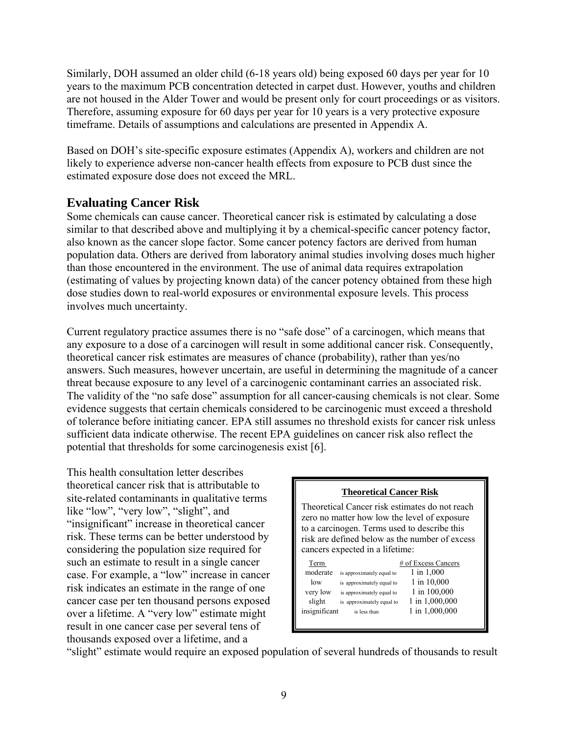Similarly, DOH assumed an older child (6-18 years old) being exposed 60 days per year for 10 years to the maximum PCB concentration detected in carpet dust. However, youths and children are not housed in the Alder Tower and would be present only for court proceedings or as visitors. Therefore, assuming exposure for 60 days per year for 10 years is a very protective exposure timeframe. Details of assumptions and calculations are presented in Appendix A.

Based on DOH's site-specific exposure estimates (Appendix A), workers and children are not likely to experience adverse non-cancer health effects from exposure to PCB dust since the estimated exposure dose does not exceed the MRL.

### **Evaluating Cancer Risk**

Some chemicals can cause cancer. Theoretical cancer risk is estimated by calculating a dose similar to that described above and multiplying it by a chemical-specific cancer potency factor, also known as the cancer slope factor. Some cancer potency factors are derived from human population data. Others are derived from laboratory animal studies involving doses much higher than those encountered in the environment. The use of animal data requires extrapolation (estimating of values by projecting known data) of the cancer potency obtained from these high dose studies down to real-world exposures or environmental exposure levels. This process involves much uncertainty.

Current regulatory practice assumes there is no "safe dose" of a carcinogen, which means that any exposure to a dose of a carcinogen will result in some additional cancer risk. Consequently, theoretical cancer risk estimates are measures of chance (probability), rather than yes/no answers. Such measures, however uncertain, are useful in determining the magnitude of a cancer threat because exposure to any level of a carcinogenic contaminant carries an associated risk. The validity of the "no safe dose" assumption for all cancer-causing chemicals is not clear. Some evidence suggests that certain chemicals considered to be carcinogenic must exceed a threshold of tolerance before initiating cancer. EPA still assumes no threshold exists for cancer risk unless sufficient data indicate otherwise. The recent EPA guidelines on cancer risk also reflect the potential that thresholds for some carcinogenesis exist [6].

This health consultation letter describes theoretical cancer risk that is attributable to site-related contaminants in qualitative terms like "low", "very low", "slight", and "insignificant" increase in theoretical cancer risk. These terms can be better understood by considering the population size required for such an estimate to result in a single cancer case. For example, a "low" increase in cancer risk indicates an estimate in the range of one cancer case per ten thousand persons exposed over a lifetime. A "very low" estimate might result in one cancer case per several tens of thousands exposed over a lifetime, and a

#### **Theoretical Cancer Risk**

Theoretical Cancer risk estimates do not reach zero no matter how low the level of exposure to a carcinogen. Terms used to describe this risk are defined below as the number of excess cancers expected in a lifetime:

| Term          |                           | # of Excess Cancers |
|---------------|---------------------------|---------------------|
| moderate      | is approximately equal to | 1 in 1,000          |
| low           | is approximately equal to | 1 in 10,000         |
| very low      | is approximately equal to | 1 in 100,000        |
| slight        | is approximately equal to | 1 in 1,000,000      |
| insignificant | is less than              | 1 in 1,000,000      |
|               |                           |                     |

"slight" estimate would require an exposed population of several hundreds of thousands to result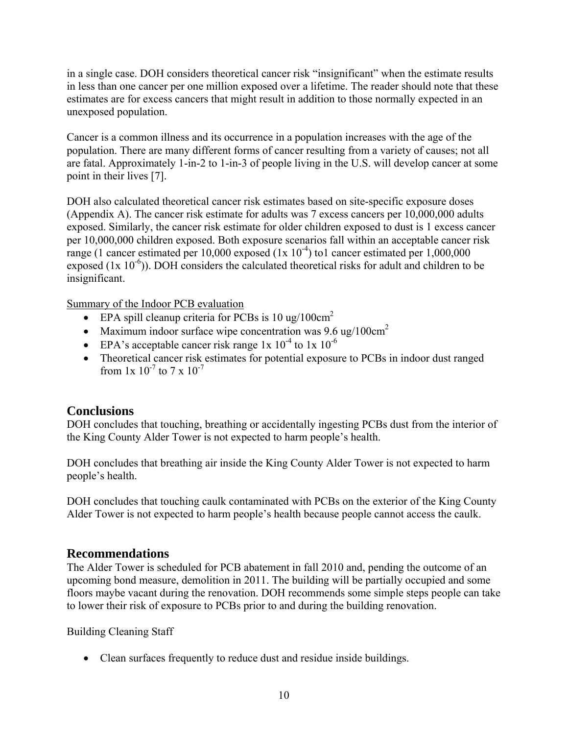in a single case. DOH considers theoretical cancer risk "insignificant" when the estimate results in less than one cancer per one million exposed over a lifetime. The reader should note that these estimates are for excess cancers that might result in addition to those normally expected in an unexposed population.

Cancer is a common illness and its occurrence in a population increases with the age of the population. There are many different forms of cancer resulting from a variety of causes; not all are fatal. Approximately 1-in-2 to 1-in-3 of people living in the U.S. will develop cancer at some point in their lives [7].

DOH also calculated theoretical cancer risk estimates based on site-specific exposure doses (Appendix A). The cancer risk estimate for adults was 7 excess cancers per 10,000,000 adults exposed. Similarly, the cancer risk estimate for older children exposed to dust is 1 excess cancer per 10,000,000 children exposed. Both exposure scenarios fall within an acceptable cancer risk range (1 cancer estimated per 10,000 exposed  $(1x 10^{-4})$  to1 cancer estimated per 1,000,000 exposed  $(1x 10^{-6})$ ). DOH considers the calculated theoretical risks for adult and children to be insignificant.

Summary of the Indoor PCB evaluation

- **•** EPA spill cleanup criteria for PCBs is  $10 \text{ ug}/100 \text{cm}^2$
- Maximum indoor surface wipe concentration was  $9.6 \text{ ug}/100 \text{cm}^2$
- EPA's acceptable cancer risk range 1x  $10^{-4}$  to 1x  $10^{-6}$
- Theoretical cancer risk estimates for potential exposure to PCBs in indoor dust ranged from  $1x \frac{10^{-7}}{10}$  to  $7 \times 10^{-7}$

### **Conclusions**

DOH concludes that touching, breathing or accidentally ingesting PCBs dust from the interior of the King County Alder Tower is not expected to harm people's health.

DOH concludes that breathing air inside the King County Alder Tower is not expected to harm people's health.

DOH concludes that touching caulk contaminated with PCBs on the exterior of the King County Alder Tower is not expected to harm people's health because people cannot access the caulk.

#### **Recommendations**

The Alder Tower is scheduled for PCB abatement in fall 2010 and, pending the outcome of an upcoming bond measure, demolition in 2011. The building will be partially occupied and some floors maybe vacant during the renovation. DOH recommends some simple steps people can take to lower their risk of exposure to PCBs prior to and during the building renovation.

Building Cleaning Staff

Clean surfaces frequently to reduce dust and residue inside buildings.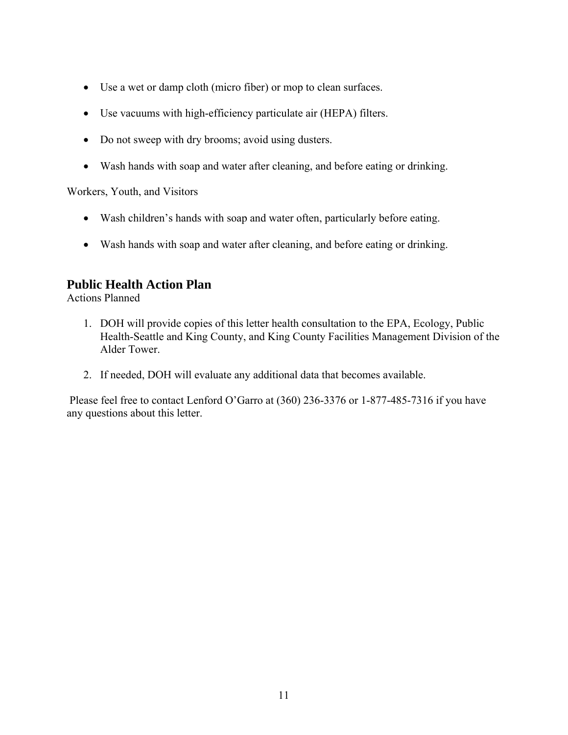- Use a wet or damp cloth (micro fiber) or mop to clean surfaces.
- Use vacuums with high-efficiency particulate air (HEPA) filters.
- Do not sweep with dry brooms; avoid using dusters.
- Wash hands with soap and water after cleaning, and before eating or drinking.

Workers, Youth, and Visitors

- Wash children's hands with soap and water often, particularly before eating.
- Wash hands with soap and water after cleaning, and before eating or drinking.

### **Public Health Action Plan**

Actions Planned

- 1. DOH will provide copies of this letter health consultation to the EPA, Ecology, Public Health-Seattle and King County, and King County Facilities Management Division of the Alder Tower.
- 2. If needed, DOH will evaluate any additional data that becomes available.

 Please feel free to contact Lenford O'Garro at (360) 236-3376 or 1-877-485-7316 if you have any questions about this letter.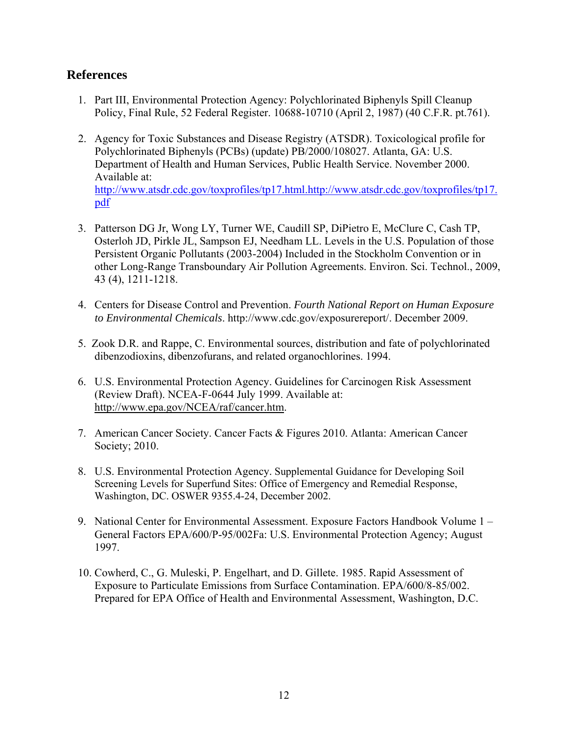### **References**

- 1. Part III, Environmental Protection Agency: Polychlorinated Biphenyls Spill Cleanup Policy, Final Rule, 52 Federal Register. 10688-10710 (April 2, 1987) (40 C.F.R. pt.761).
- 2. Agency for Toxic Substances and Disease Registry (ATSDR). Toxicological profile for Polychlorinated Biphenyls (PCBs) (update) PB/2000/108027. Atlanta, GA: U.S. Department of Health and Human Services, Public Health Service. November 2000. Available at:

http://www.atsdr.cdc.gov/toxprofiles/tp17.html.http://www.atsdr.cdc.gov/toxprofiles/tp17. pdf

- 3. Patterson DG Jr, Wong LY, Turner WE, Caudill SP, DiPietro E, McClure C, Cash TP, Osterloh JD, Pirkle JL, Sampson EJ, Needham LL. Levels in the U.S. Population of those Persistent Organic Pollutants (2003-2004) Included in the Stockholm Convention or in other Long-Range Transboundary Air Pollution Agreements. Environ. Sci. Technol., 2009, 43 (4), 1211-1218.
- 4. Centers for Disease Control and Prevention. *Fourth National Report on Human Exposure to Environmental Chemicals*. http://www.cdc.gov/exposurereport/. December 2009.
- 5. Zook D.R. and Rappe, C. Environmental sources, distribution and fate of polychlorinated dibenzodioxins, dibenzofurans, and related organochlorines. 1994.
- 6. U.S. Environmental Protection Agency. Guidelines for Carcinogen Risk Assessment (Review Draft). NCEA-F-0644 July 1999. Available at: http://www.epa.gov/NCEA/raf/cancer.htm.
- 7. American Cancer Society. Cancer Facts & Figures 2010. Atlanta: American Cancer Society; 2010.
- 8. U.S. Environmental Protection Agency. Supplemental Guidance for Developing Soil Screening Levels for Superfund Sites: Office of Emergency and Remedial Response, Washington, DC. OSWER 9355.4-24, December 2002.
- 9. National Center for Environmental Assessment. Exposure Factors Handbook Volume 1 General Factors EPA/600/P-95/002Fa: U.S. Environmental Protection Agency; August 1997.
- 10. Cowherd, C., G. Muleski, P. Engelhart, and D. Gillete. 1985. Rapid Assessment of Exposure to Particulate Emissions from Surface Contamination. EPA/600/8-85/002. Prepared for EPA Office of Health and Environmental Assessment, Washington, D.C.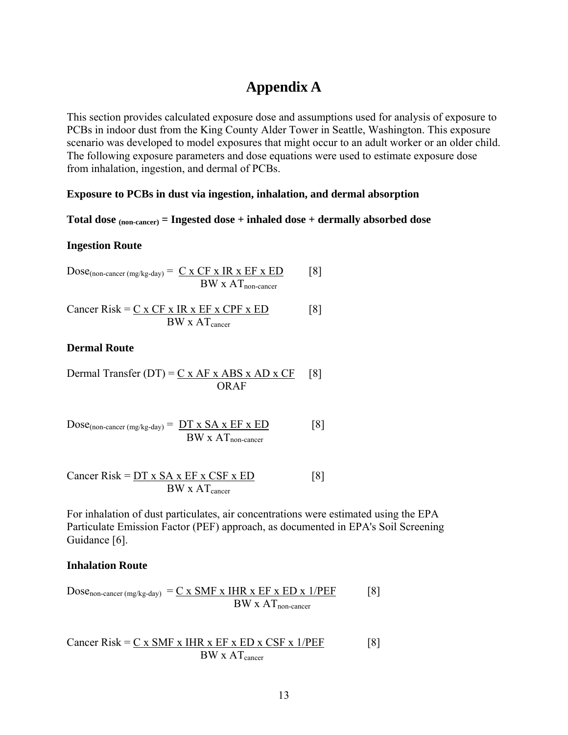### **Appendix A**

This section provides calculated exposure dose and assumptions used for analysis of exposure to PCBs in indoor dust from the King County Alder Tower in Seattle, Washington. This exposure scenario was developed to model exposures that might occur to an adult worker or an older child. The following exposure parameters and dose equations were used to estimate exposure dose from inhalation, ingestion, and dermal of PCBs.

#### **Exposure to PCBs in dust via ingestion, inhalation, and dermal absorption**

#### **Total dose (non-cancer) = Ingested dose + inhaled dose + dermally absorbed dose**

#### **Ingestion Route**

$$
Dose_{(non\text{-}cancer \,(mg/kg\text{-}day)} = \frac{C \times CF \times IR \times EF \times ED}{BW \times AT_{non\text{-}cancer}} \qquad [8]
$$

$$
Cancer Risk = \underbrace{C x CF x IR x EF x CPF x ED}_{BW x AT_{cancer}} \quad [8]
$$

#### **Dermal Route**

Dermal Transfer (DT) = 
$$
\frac{C x AF x ABS x AD x CF}{ORAF}
$$
 [8]

$$
Dose_{(non\text{-cancer (mg/kg-day)}} = \frac{DT \times SA \times EF \times ED}{BW \times AT_{non\text{-cancer}}}
$$
 [8]

$$
Cancer Risk = \underbrace{DT \times SA \times EF \times CSF \times ED}_{BW \times AT_{cancer}} \quad [8]
$$

For inhalation of dust particulates, air concentrations were estimated using the EPA Particulate Emission Factor (PEF) approach, as documented in EPA's Soil Screening Guidance [6].

#### **Inhalation Route**

$$
Dose_{non-cancer (mg/kg-day)} = \underline{C \times SMF \times IHR \times EF \times ED \times 1/PEF}
$$
 [8]

$$
Cancer Risk = \underbrace{C \times SMF \times IHR \times EF \times ED \times CSF \times 1/PEF}_{BW \times AT_{cancer}} [8]
$$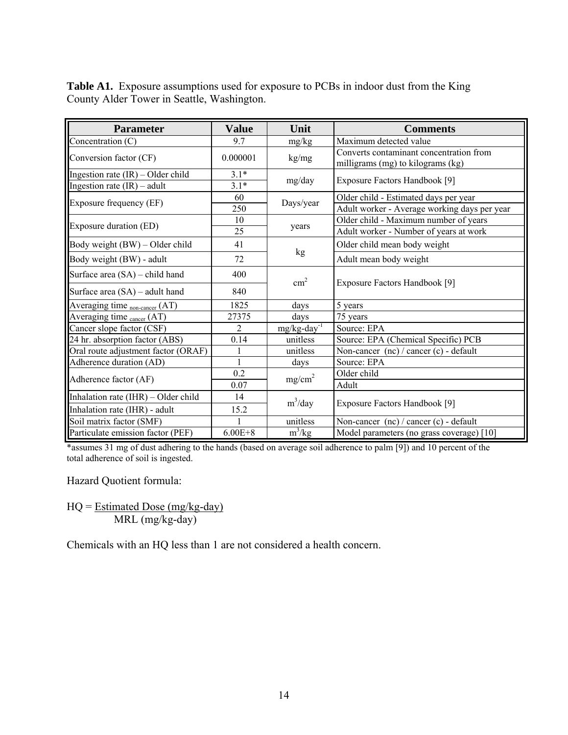**Table A1.** Exposure assumptions used for exposure to PCBs in indoor dust from the King County Alder Tower in Seattle, Washington.

| <b>Parameter</b>                          | <b>Value</b>   | Unit                       | <b>Comments</b>                                                              |  |
|-------------------------------------------|----------------|----------------------------|------------------------------------------------------------------------------|--|
| Concentration (C)                         | 9.7            | mg/kg                      | Maximum detected value                                                       |  |
| Conversion factor (CF)                    | 0.000001       | kg/mg                      | Converts contaminant concentration from<br>milligrams (mg) to kilograms (kg) |  |
| Ingestion rate $(IR)$ – Older child       | $3.1*$         |                            | Exposure Factors Handbook [9]                                                |  |
| Ingestion rate $(IR)$ – adult             | $3.1*$         | mg/day                     |                                                                              |  |
| Exposure frequency (EF)                   | 60             | Days/year                  | Older child - Estimated days per year                                        |  |
|                                           | 250            |                            | Adult worker - Average working days per year                                 |  |
|                                           | 10             |                            | Older child - Maximum number of years                                        |  |
| Exposure duration (ED)                    | 25             | years                      | Adult worker - Number of years at work                                       |  |
| Body weight (BW) – Older child            | 41             |                            | Older child mean body weight                                                 |  |
| Body weight (BW) - adult                  | 72             | kg                         | Adult mean body weight                                                       |  |
| Surface area (SA) – child hand            | 400            | $\text{cm}^2$              | Exposure Factors Handbook [9]                                                |  |
| Surface area $(SA)$ – adult hand          | 840            |                            |                                                                              |  |
| Averaging time <sub>non-cancer</sub> (AT) | 1825           | days                       | 5 years                                                                      |  |
| Averaging time cancer (AT)                | 27375          | days                       | 75 years                                                                     |  |
| Cancer slope factor (CSF)                 | $\overline{2}$ | $mg/kg$ -day <sup>-1</sup> | Source: EPA                                                                  |  |
| 24 hr. absorption factor (ABS)            | 0.14           | unitless                   | Source: EPA (Chemical Specific) PCB                                          |  |
| Oral route adjustment factor (ORAF)       |                | unitless                   | Non-cancer $(nc)$ / cancer $(c)$ - default                                   |  |
| Adherence duration (AD)                   | $\mathbf{1}$   | days                       | Source: EPA                                                                  |  |
| Adherence factor (AF)                     | 0.2            | mg/cm <sup>2</sup>         | Older child                                                                  |  |
|                                           | 0.07           |                            | Adult                                                                        |  |
| Inhalation rate (IHR) - Older child       | 14             | $m^3$ /day                 | Exposure Factors Handbook [9]                                                |  |
| Inhalation rate (IHR) - adult             | 15.2           |                            |                                                                              |  |
| Soil matrix factor (SMF)                  |                | unitless                   | Non-cancer (nc) / cancer (c) - default                                       |  |
| Particulate emission factor (PEF)         | $6.00E + 8$    | $\overline{m}^3/kg$        | Model parameters (no grass coverage) [10]                                    |  |

\*assumes 31 mg of dust adhering to the hands (based on average soil adherence to palm [9]) and 10 percent of the total adherence of soil is ingested.

Hazard Quotient formula:

 $HQ = Estimated Does (mg/kg-day)$ MRL (mg/kg-day)

Chemicals with an HQ less than 1 are not considered a health concern.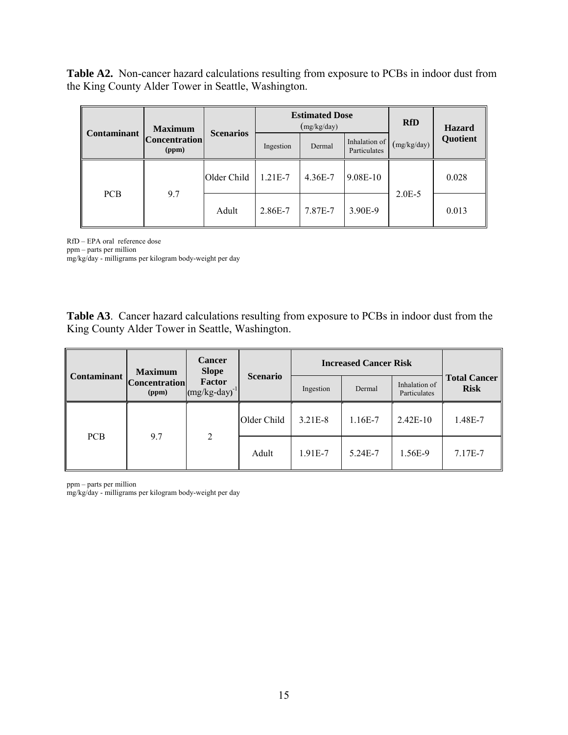**Table A2.** Non-cancer hazard calculations resulting from exposure to PCBs in indoor dust from the King County Alder Tower in Seattle, Washington.

|                    | <b>Maximum</b>                | <b>Scenarios</b> | <b>Estimated Dose</b><br>(mg/kg/day) |         |                               | <b>RfD</b>  | <b>Hazard</b> |
|--------------------|-------------------------------|------------------|--------------------------------------|---------|-------------------------------|-------------|---------------|
| <b>Contaminant</b> | <b>Concentration</b><br>(ppm) |                  | Ingestion                            | Dermal  | Inhalation of<br>Particulates | (mg/kg/day) | Quotient      |
| <b>PCB</b>         | 9.7                           | Older Child      | $1.21E-7$                            | 4.36E-7 | 9.08E-10                      |             | 0.028         |
|                    |                               | Adult            | 2.86E-7                              | 7.87E-7 | 3.90E-9                       | $2.0E-5$    | 0.013         |

RfD – EPA oral reference dose

ppm – parts per million

mg/kg/day - milligrams per kilogram body-weight per day

**Table A3**. Cancer hazard calculations resulting from exposure to PCBs in indoor dust from the King County Alder Tower in Seattle, Washington.

|                                                     | <b>Maximum</b> | <b>Cancer</b><br><b>Slope</b> |                 | <b>Increased Cancer Risk</b> |         |                               |                                    |
|-----------------------------------------------------|----------------|-------------------------------|-----------------|------------------------------|---------|-------------------------------|------------------------------------|
| <b>Contaminant</b><br><b>Concentration</b><br>(ppm) |                | Factor<br>$(mg/kg-day)^{-1}$  | <b>Scenario</b> | Ingestion                    | Dermal  | Inhalation of<br>Particulates | <b>Total Cancer</b><br><b>Risk</b> |
| <b>PCB</b>                                          |                | 2                             | Older Child     | $3.21E-8$                    | 1.16E-7 | $2.42E-10$                    | 1.48E-7                            |
|                                                     | 9.7            |                               | Adult           | 1.91E-7                      | 5.24E-7 | 1.56E-9                       | 7.17E-7                            |

ppm – parts per million

mg/kg/day - milligrams per kilogram body-weight per day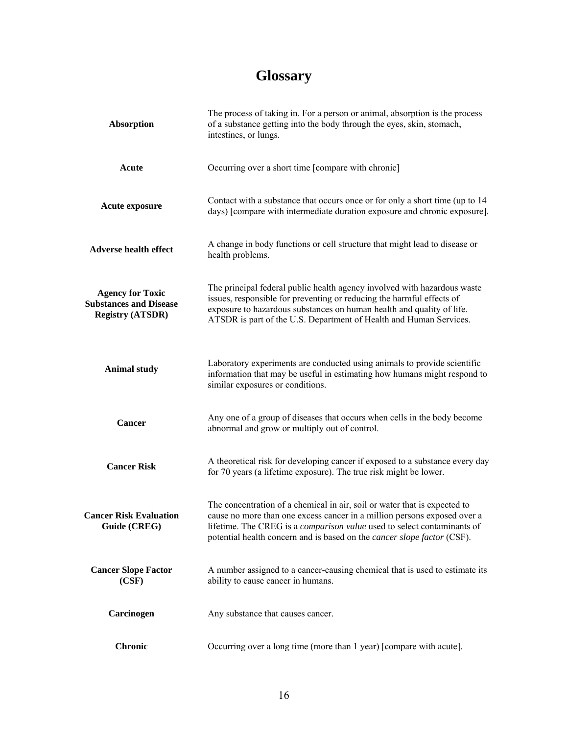# **Glossary**

| <b>Absorption</b>                                                                   | The process of taking in. For a person or animal, absorption is the process<br>of a substance getting into the body through the eyes, skin, stomach,<br>intestines, or lungs.                                                                                                                                             |  |
|-------------------------------------------------------------------------------------|---------------------------------------------------------------------------------------------------------------------------------------------------------------------------------------------------------------------------------------------------------------------------------------------------------------------------|--|
| Acute                                                                               | Occurring over a short time [compare with chronic]                                                                                                                                                                                                                                                                        |  |
| Acute exposure                                                                      | Contact with a substance that occurs once or for only a short time (up to 14)<br>days) [compare with intermediate duration exposure and chronic exposure].                                                                                                                                                                |  |
| <b>Adverse health effect</b>                                                        | A change in body functions or cell structure that might lead to disease or<br>health problems.                                                                                                                                                                                                                            |  |
| <b>Agency for Toxic</b><br><b>Substances and Disease</b><br><b>Registry (ATSDR)</b> | The principal federal public health agency involved with hazardous waste<br>issues, responsible for preventing or reducing the harmful effects of<br>exposure to hazardous substances on human health and quality of life.<br>ATSDR is part of the U.S. Department of Health and Human Services.                          |  |
| <b>Animal study</b>                                                                 | Laboratory experiments are conducted using animals to provide scientific<br>information that may be useful in estimating how humans might respond to<br>similar exposures or conditions.                                                                                                                                  |  |
| Cancer                                                                              | Any one of a group of diseases that occurs when cells in the body become<br>abnormal and grow or multiply out of control.                                                                                                                                                                                                 |  |
| <b>Cancer Risk</b>                                                                  | A theoretical risk for developing cancer if exposed to a substance every day<br>for 70 years (a lifetime exposure). The true risk might be lower.                                                                                                                                                                         |  |
| <b>Cancer Risk Evaluation</b><br>Guide (CREG)                                       | The concentration of a chemical in air, soil or water that is expected to<br>cause no more than one excess cancer in a million persons exposed over a<br>lifetime. The CREG is a <i>comparison value</i> used to select contaminants of<br>potential health concern and is based on the <i>cancer slope factor</i> (CSF). |  |
| <b>Cancer Slope Factor</b><br>(CSF)                                                 | A number assigned to a cancer-causing chemical that is used to estimate its<br>ability to cause cancer in humans.                                                                                                                                                                                                         |  |
| Carcinogen                                                                          | Any substance that causes cancer.                                                                                                                                                                                                                                                                                         |  |
| <b>Chronic</b>                                                                      | Occurring over a long time (more than 1 year) [compare with acute].                                                                                                                                                                                                                                                       |  |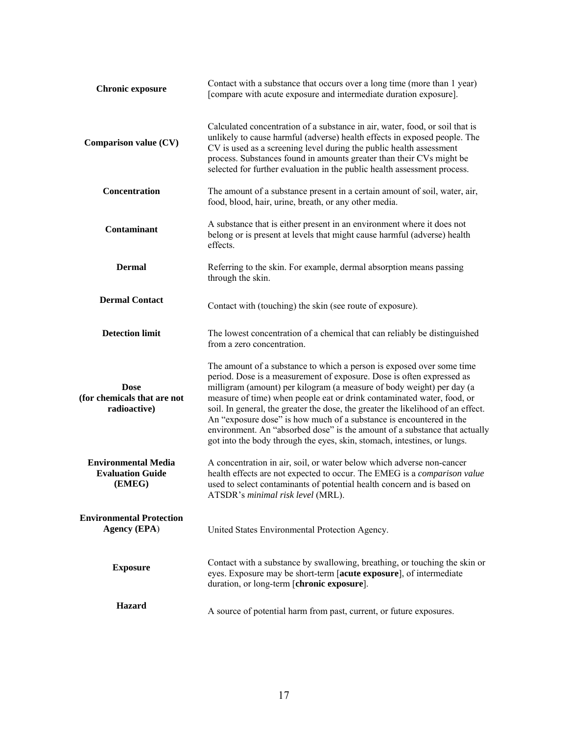| <b>Chronic exposure</b>                                         | Contact with a substance that occurs over a long time (more than 1 year)<br>[compare with acute exposure and intermediate duration exposure].                                                                                                                                                                                                                                                                                                                                                                                                                                                                          |
|-----------------------------------------------------------------|------------------------------------------------------------------------------------------------------------------------------------------------------------------------------------------------------------------------------------------------------------------------------------------------------------------------------------------------------------------------------------------------------------------------------------------------------------------------------------------------------------------------------------------------------------------------------------------------------------------------|
| Comparison value (CV)                                           | Calculated concentration of a substance in air, water, food, or soil that is<br>unlikely to cause harmful (adverse) health effects in exposed people. The<br>CV is used as a screening level during the public health assessment<br>process. Substances found in amounts greater than their CVs might be<br>selected for further evaluation in the public health assessment process.                                                                                                                                                                                                                                   |
| Concentration                                                   | The amount of a substance present in a certain amount of soil, water, air,<br>food, blood, hair, urine, breath, or any other media.                                                                                                                                                                                                                                                                                                                                                                                                                                                                                    |
| Contaminant                                                     | A substance that is either present in an environment where it does not<br>belong or is present at levels that might cause harmful (adverse) health<br>effects.                                                                                                                                                                                                                                                                                                                                                                                                                                                         |
| <b>Dermal</b>                                                   | Referring to the skin. For example, dermal absorption means passing<br>through the skin.                                                                                                                                                                                                                                                                                                                                                                                                                                                                                                                               |
| <b>Dermal Contact</b>                                           | Contact with (touching) the skin (see route of exposure).                                                                                                                                                                                                                                                                                                                                                                                                                                                                                                                                                              |
| <b>Detection limit</b>                                          | The lowest concentration of a chemical that can reliably be distinguished<br>from a zero concentration.                                                                                                                                                                                                                                                                                                                                                                                                                                                                                                                |
| <b>Dose</b><br>(for chemicals that are not<br>radioactive)      | The amount of a substance to which a person is exposed over some time<br>period. Dose is a measurement of exposure. Dose is often expressed as<br>milligram (amount) per kilogram (a measure of body weight) per day (a<br>measure of time) when people eat or drink contaminated water, food, or<br>soil. In general, the greater the dose, the greater the likelihood of an effect.<br>An "exposure dose" is how much of a substance is encountered in the<br>environment. An "absorbed dose" is the amount of a substance that actually<br>got into the body through the eyes, skin, stomach, intestines, or lungs. |
| <b>Environmental Media</b><br><b>Evaluation Guide</b><br>(EMEG) | A concentration in air, soil, or water below which adverse non-cancer<br>health effects are not expected to occur. The EMEG is a comparison value<br>used to select contaminants of potential health concern and is based on<br>ATSDR's minimal risk level (MRL).                                                                                                                                                                                                                                                                                                                                                      |
| <b>Environmental Protection</b><br><b>Agency (EPA)</b>          | United States Environmental Protection Agency.                                                                                                                                                                                                                                                                                                                                                                                                                                                                                                                                                                         |
| <b>Exposure</b>                                                 | Contact with a substance by swallowing, breathing, or touching the skin or<br>eyes. Exposure may be short-term [acute exposure], of intermediate<br>duration, or long-term [chronic exposure].                                                                                                                                                                                                                                                                                                                                                                                                                         |
| <b>Hazard</b>                                                   | A source of potential harm from past, current, or future exposures.                                                                                                                                                                                                                                                                                                                                                                                                                                                                                                                                                    |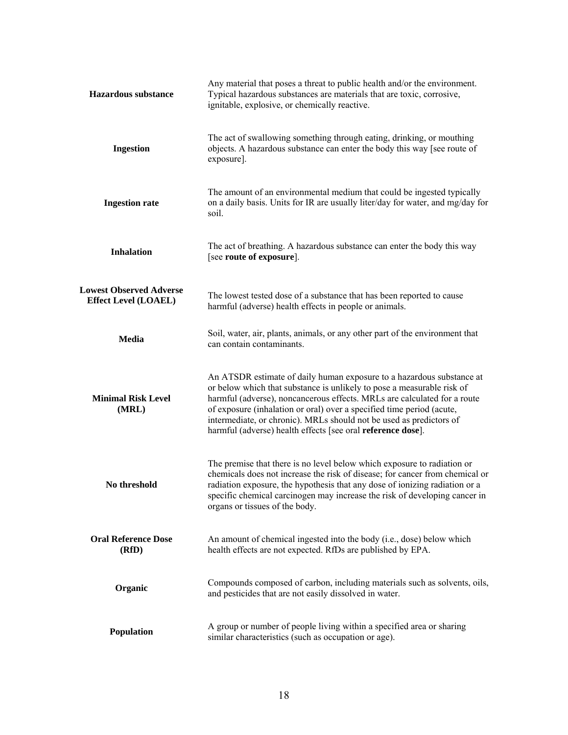| <b>Hazardous substance</b>                                    | Any material that poses a threat to public health and/or the environment.<br>Typical hazardous substances are materials that are toxic, corrosive,<br>ignitable, explosive, or chemically reactive.                                                                                                                                                                                                                                                |
|---------------------------------------------------------------|----------------------------------------------------------------------------------------------------------------------------------------------------------------------------------------------------------------------------------------------------------------------------------------------------------------------------------------------------------------------------------------------------------------------------------------------------|
| <b>Ingestion</b>                                              | The act of swallowing something through eating, drinking, or mouthing<br>objects. A hazardous substance can enter the body this way [see route of<br>exposure].                                                                                                                                                                                                                                                                                    |
| <b>Ingestion rate</b>                                         | The amount of an environmental medium that could be ingested typically<br>on a daily basis. Units for IR are usually liter/day for water, and mg/day for<br>soil.                                                                                                                                                                                                                                                                                  |
| <b>Inhalation</b>                                             | The act of breathing. A hazardous substance can enter the body this way<br>[see route of exposure].                                                                                                                                                                                                                                                                                                                                                |
| <b>Lowest Observed Adverse</b><br><b>Effect Level (LOAEL)</b> | The lowest tested dose of a substance that has been reported to cause<br>harmful (adverse) health effects in people or animals.                                                                                                                                                                                                                                                                                                                    |
| <b>Media</b>                                                  | Soil, water, air, plants, animals, or any other part of the environment that<br>can contain contaminants.                                                                                                                                                                                                                                                                                                                                          |
| <b>Minimal Risk Level</b><br>(MRL)                            | An ATSDR estimate of daily human exposure to a hazardous substance at<br>or below which that substance is unlikely to pose a measurable risk of<br>harmful (adverse), noncancerous effects. MRLs are calculated for a route<br>of exposure (inhalation or oral) over a specified time period (acute,<br>intermediate, or chronic). MRLs should not be used as predictors of<br>harmful (adverse) health effects [see oral <b>reference dose</b> ]. |
| No threshold                                                  | The premise that there is no level below which exposure to radiation or<br>chemicals does not increase the risk of disease; for cancer from chemical or<br>radiation exposure, the hypothesis that any dose of ionizing radiation or a<br>specific chemical carcinogen may increase the risk of developing cancer in<br>organs or tissues of the body.                                                                                             |
| <b>Oral Reference Dose</b><br>(RfD)                           | An amount of chemical ingested into the body (i.e., dose) below which<br>health effects are not expected. RfDs are published by EPA.                                                                                                                                                                                                                                                                                                               |
| Organic                                                       | Compounds composed of carbon, including materials such as solvents, oils,<br>and pesticides that are not easily dissolved in water.                                                                                                                                                                                                                                                                                                                |
| Population                                                    | A group or number of people living within a specified area or sharing<br>similar characteristics (such as occupation or age).                                                                                                                                                                                                                                                                                                                      |